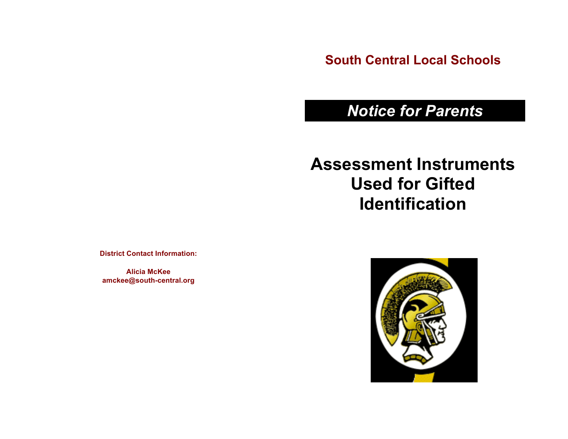**South Central Local Schools**

# *Notice for Parents*

# **Assessment Instruments Used for Gifted Identification**

**District Contact Information:**

**Alicia McKee amckee@south-central.org**